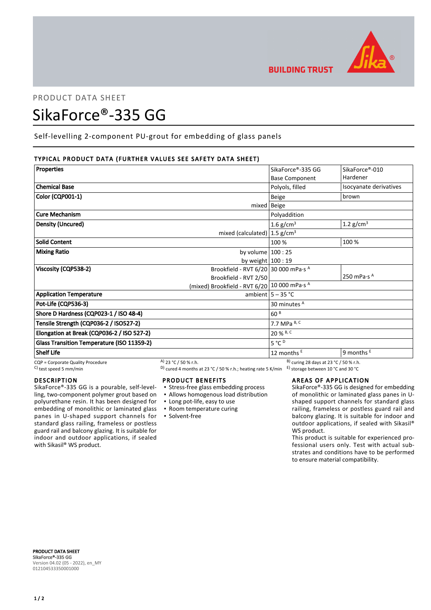

# PRODUCT DATA SHEET SikaForce®-335 GG

# Self-levelling 2-component PU-grout for embedding of glass panels

## TYPICAL PRODUCT DATA (FURTHER VALUES SEE SAFETY DATA SHEET)

| <b>Properties</b>                          |                                                                                                  | SikaForce®-335 GG       | SikaForce®-010                 |
|--------------------------------------------|--------------------------------------------------------------------------------------------------|-------------------------|--------------------------------|
|                                            |                                                                                                  | <b>Base Component</b>   | Hardener                       |
| <b>Chemical Base</b>                       |                                                                                                  | Polyols, filled         | Isocyanate derivatives         |
| <b>Color (CQP001-1)</b>                    |                                                                                                  | Beige                   | brown                          |
|                                            |                                                                                                  | mixed Beige             |                                |
| <b>Cure Mechanism</b>                      |                                                                                                  | Polyaddition            |                                |
| <b>Density (Uncured)</b>                   |                                                                                                  | 1.6 $g/cm3$             | 1.2 $g/cm^{3}$                 |
|                                            | mixed (calculated) $ 1.5 \text{ g/cm}^3$                                                         |                         |                                |
| <b>Solid Content</b>                       |                                                                                                  | 100 %                   | 100 %                          |
| <b>Mixing Ratio</b>                        | by volume $100:25$                                                                               |                         |                                |
|                                            | by weight $100:19$                                                                               |                         |                                |
| Viscosity (CQP538-2)                       | Brookfield - RVT 6/20 30 000 mPa·s A                                                             |                         |                                |
|                                            | Brookfield - RVT 2/50                                                                            |                         | 250 mPa $\cdot$ s <sup>A</sup> |
|                                            | (mixed) Brookfield - RVT 6/20 10 000 mPa·s A                                                     |                         |                                |
| <b>Application Temperature</b>             |                                                                                                  | ambient $ 5 - 35$ °C    |                                |
| Pot-Life (CQP536-3)                        |                                                                                                  | 30 minutes <sup>A</sup> |                                |
| Shore D Hardness (CQP023-1 / ISO 48-4)     |                                                                                                  | 60 <sup>B</sup>         |                                |
| Tensile Strength (CQP036-2 / ISO527-2)     |                                                                                                  | 7.7 MPa B, C            |                                |
| Elongation at Break (CQP036-2 / ISO 527-2) |                                                                                                  | 20 % B, C               |                                |
| Glass Transition Temperature (ISO 11359-2) |                                                                                                  | $5^{\circ}C^{D}$        |                                |
| <b>Shelf Life</b>                          |                                                                                                  | 12 months <sup>E</sup>  | 9 months $E$                   |
| CQP = Corporate Quality Procedure          | A) 23 °C / 50 % r.h.<br><sup>B)</sup> curing 28 days at 23 °C / 50 % r.h.                        |                         |                                |
| $C$ ) test speed 5 mm/min                  | D) cured 4 months at 23 °C / 50 % r.h.; heating rate 5 K/min $E$ storage between 10 °C and 30 °C |                         |                                |

#### DESCRIPTION

SikaForce®-335 GG is a pourable, self-levelling, two-component polymer grout based on polyurethane resin. It has been designed for embedding of monolithic or laminated glass panes in U-shaped support channels for standard glass railing, frameless or postless guard rail and balcony glazing. It is suitable for indoor and outdoor applications, if sealed with Sikasil® WS product.

PRODUCT BENEFITS

- **Stress-free glass embedding process**
- Allows homogenous load distribution
- Long pot-life, easy to use
- Room temperature curing
- Solvent-free

## AREAS OF APPLICATION

SikaForce®-335 GG is designed for embedding of monolithic or laminated glass panes in Ushaped support channels for standard glass railing, frameless or postless guard rail and balcony glazing. It is suitable for indoor and outdoor applications, if sealed with Sikasil® WS product.

This product is suitable for experienced professional users only. Test with actual substrates and conditions have to be performed to ensure material compatibility.